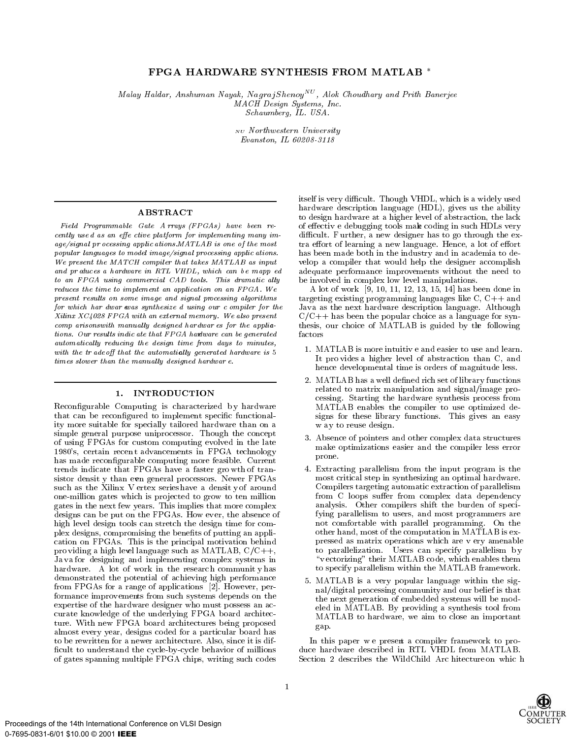# FPGA HARDWARE SYNTHESIS FROM MATLAB

Malay Haldar, Anshuman Nayak, Nagraj $Shenoy^{NU}$ , Alok Choudhary and Prith Banerjee MACH Design Systems, Inc.

Schaumberg, IL. USA.

NU Northwestern University Evanston, IL 60208-3118

### ABSTRACT

Field Programmable Gate A rrays (FPGAs) have been re cently used as an effe ctive platform for implementing many image/signal pr ocessing applic ations.MATLAB is one of the most popular languages to model image/signal processing applic ations. We present the MATCH compiler that takes MATLAB as input and pr duces a hardware in RTL VHDL, which can be mapp ed to an  $FPGA$  using commercial  $CAD$  tools. This dramatic ally reduces the time to implement an application on an FPGA. We present results on some image and signal processing algorithms for which har dwar ewas synthesize d using our c ompiler for the Xilinx XC4028 FPGA with an external memory. We also present  $comp\;arisons with\; manually\; designed\; hardware\; for\; the\; applia$ tions. Our results indic ate that FPGA hardware can be generated automatically reducing the design time from days to minutes, with the  $tr \, a de off \, that \, the \, automatically \, generated \, hardware \, is \, 5$  $times$  slower than the manually designed hardwar  $e$ .

## 1. INTRODUCTION

Reconfigurable Computing is characterized by hardware that can be reconfigured to implement specific functionality more suitable for specially tailored hardware than on a simple general purpose uniprocessor. Though the concept of using FPGAs for custom computing evolved in the late 1980's, certain recent advancements in FPGA technology has made reconfigurable computing more feasible. Current trends indicate that FPGAs have a faster gro wth of transistor densit y than even general processors. Newer FPGAs such as the Xilinx V ertex series have a density of around one-million gates which is projected to grow to ten million gates in the next few years. This implies that more complex designs can be put on the FPGAs. How ev er, the absence of high level design tools can stretch the design time for complex designs, compromising the benefits of putting an application on FPGAs. This is the principal motivation behind pro viding a high level language such as MATLAB, C/C++, Ja va for designing and implementing complex systems in hardware. A lot of work in the research communit y has demonstrated the potential of achieving high performance from FPGAs for a range of applications [2]. However, performance improv ements from such systems depends on the expertise of the hardware designer who must possess an accurate knowledge of the underlying FPGA board architecture. With new FPGA board architectures being proposed almost every year, designs coded for a particular board has to be rewritten for a newer architecture. Also, since it is dif ficult to understand the cycle-by-cycle behavior of millions of gates spanning multiple FPGA chips, writing such codes

itself is very difficult. Though VHDL, which is a widely used hardware description language (HDL), gives us the ability to design hardware at a higher level of abstraction, the lack of effectiv e debugging tools make coding in such HDLs very difficult. Further, a new designer has to go through the extra effort of learning a new language. Hence, a lot of effort has been made both in the industry and in academia to de velop a compiler that would help the designer accomplish adequate performance improvements without the need to be involved in complex low level manipulations.

A lot of work [9, 10, 11, 12, 13, 15, 14] has been done in targeting existing programming languages like C, C++ and Java as the next hardware description language. Although  $C/C++$  has been the popular choice as a language for synthesis, our choice of MATLAB is guided by the following

- 1. MATLAB is more intuitiv e and easier to use and learn. It pro vides a higher level of abstraction than C, and hence developmental time is orders of magnitude less.
- 2. MATLAB has a well defined rich set of library functions related to matrix manipulation and signal/image processing. Starting the hardware synthesis process from MATLAB enables the compiler to use optimized designs for these library functions. This gives an easy w ay to reuse design.
- 3. Absence of pointers and other complex data structures make optimizations easier and the compiler less error prone.
- 4. Extracting parallelism from the input program is the most critical step in synthesizing an optimal hardware. Compilers targeting automatic extraction of parallelism from C loops suffer from complex data dependency analysis. Other compilers shift the burden of specifying parallelism to users, and most programmers are not comfortable with parallel programming. On the other hand, most of the computation in MATLAB is expressed as matrix operations which are v ery amenable to parallelization. Users can specify parallelism by " $v$  ectorizing" their MATLAB code, which enables them to specify parallelism within the MATLAB framework.
- 5. MATLAB is a very popular language within the signal/digital processing community and our belief is that the next generation of embedded systems will be modeled in MATLAB. By providing a synthesis tool from MATLAB to hardware, we aim to close an important gap.

In this paper w e present a compiler framework to produce hardware described in RTL VHDL from MATLAB. Section 2 describes the WildChild Arc hitecture on whic h

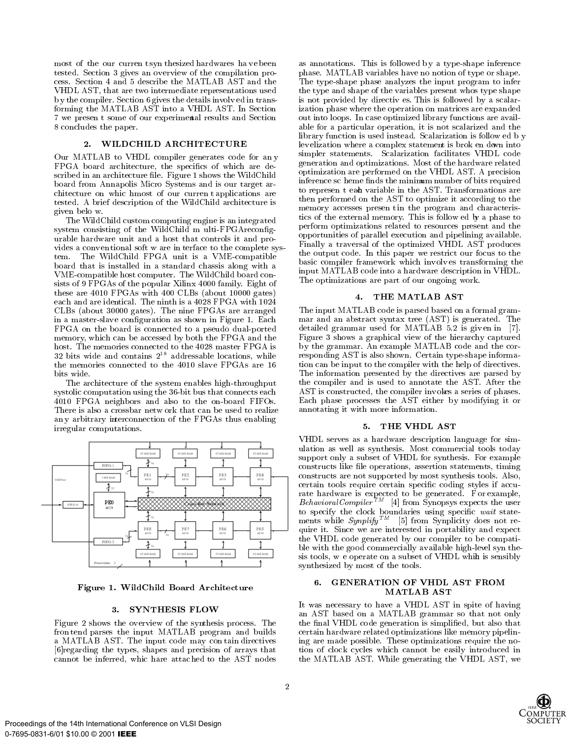most of the our current syn thesized hardwares ha vebeen tested. Section 3 gives an ov erview of the compilation pro cess. Section 4 and 5 describe the MATLAB AST and the VHDL AST, that are two intermediate representations used b y the compiler. Section 6 gives the details involv ed in transforming the MATLAB AST into a VHDL AST. In Section 7 we presen t some of our experimental results and Section 8 concludes the paper.

### 2. WILDCHILD ARCHITECTURE

Our MATLAB to VHDL compiler generates code for an y FPGA board architecture, the specics of which are described in an architecture file. Figure 1 shows the WildChild board from Annapolis Micro Systems and is our target architecture on whic hmost of our curren t applications are tested. A brief description of the WildChild architecture is given belo w.

The WildChild custom computing engine is an integrated system consisting of the WildChild m ulti-FPGArecongurable hardware unit and a host that controls it and provides a conv en tional soft w are in terface to the complete system. The WildChild FPGA unit is a VME-compatible board that is installed in a standard chassis along with a VME-compatible host computer. The WildChild board consists of 9 FPGAs of the popular Xilinx 4000 family. Eight of these are 4010 FPGAs with 400 CLBs (about 10000 gates) each and are identical. The ninth is a 4028 FPGA with 1024 CLBs (about 30000 gates). The nine FPGAs are arranged in a master-slave configuration as shown in Figure 1. Each FPGA on the board is connected to a pseudo dual-ported memory, which can be accessed by both the FPGA and the host. The memories connected to the 4028 master FPGA is 32 bits wide and contains  $2^{18}$  addressable locations, while the memories connected to the 4010 slave FPGAs are 16 bits wide.

The architecture of the system enables high-throughput systolic computation using the 36-bit bus that connects each 4010 FPGA neighbors and also to the on-board FIFOs. There is also a crossbar netw ork that can be used to realize an y arbitrary interconnection of the FPGAs thus enabling irregular computations.



Figure 1. WildChild Board Architecture

#### **SYNTHESIS FLOW**  $\overline{\mathbf{3}}$ .

Figure 2 shows the ov erview of the synthesis process. The fron tend parses the input MATLAB program and builds a MATLAB AST. The input code may con tain directives [6]regarding the types, shapes and precision of arrays that cannot be inferred, whic hare attac hed to the AST nodes

as annotations. This is followed by a type-shape inference phase. MATLAB variables have no notion of type or shape. The type-shape phase analyzes the input program to infer the type and shape of the variables present whos type shape is not provided by directiv es. This is followed by a scalarization phase where the operation on matrices are expanded out into loops. In case optimized library functions are available for a particular operation, it is not scalarized and the library function is used instead. Scalarization is follow ed b y lev elization where a complex statement is brok en down into simpler statements. Scalarization facilitates VHDL code generation and optimizations. Most of the hardware related optimization are performed on the VHDL AST. A precision inference sc heme finds the minimum number of bits required to represen t eah variable in the AST. Transformations are then performed on the AST to optimize it according to the memory accesses present in the program and characteristics of the external memory. This is follow ed by a phase to perform optimizations related to resources present and the opportunities of parallel execution and pipelining available. Finally a trav ersal of the optimized VHDL AST produces the output code. In this paper we restrict our focus to the basic compiler framework which involv es transforming the input MATLAB code into a hardware description in VHDL. The optimizations are part of our ongoing work.

### 4. THE MATLAB AST

The input MATLAB code is parsed based on a formal grammar and an abstract syntax tree (AST) is generated. The detailed grammar used for MATLAB 5.2 is giv en in [7]. Figure 3 shows a graphical view of the hierarchy captured b y the grammar. An example MATLAB code and the corresponding AST is also shown. Certain type-shape information can be input to the compiler with the help of directives. The information presented by the directives are parsed by the compiler and is used to annotate the AST. After the AST is constructed, the compiler invokes a series of phases. Each phase processes the AST either by modifying it or annotating it with more information.

### 5. THE VHDL AST

VHDL serves as a hardware description language for simulation as well as synthesis. Most commercial tools today support only a subset of VHDL for synthesis. For example constructs like file operations, assertion statements, timing constructs are not supported by most synthesis tools. Also, certain tools require certain specic coding styles if accu-  $BehavionalComplier^{TM}$  [4] from Synopsys expects the user to specify the clock boundaries using specific wait statements while  $Synplify^{TM}$  [5] from Synplicity does not require it. Since we are interested in portability and expect the VHDL code generated by our compiler to be compatible with the good commercially available high-level syn thesis tools, we operate on a subset of VHDL while is sensibly synthesized by most of the tools.

### GENERATION OF VHDL AST FROM 6.

It was necessary to have a VHDL AST in spite of having an AST based on a MATLAB grammar so that not only the final VHDL code generation is simplified, but also that certain hardware related optimizations like memory pipelining are made possible. These optimizations require the notion of clock cycles which cannot be easily introduced in the MATLAB AST. While generating the VHDL AST, we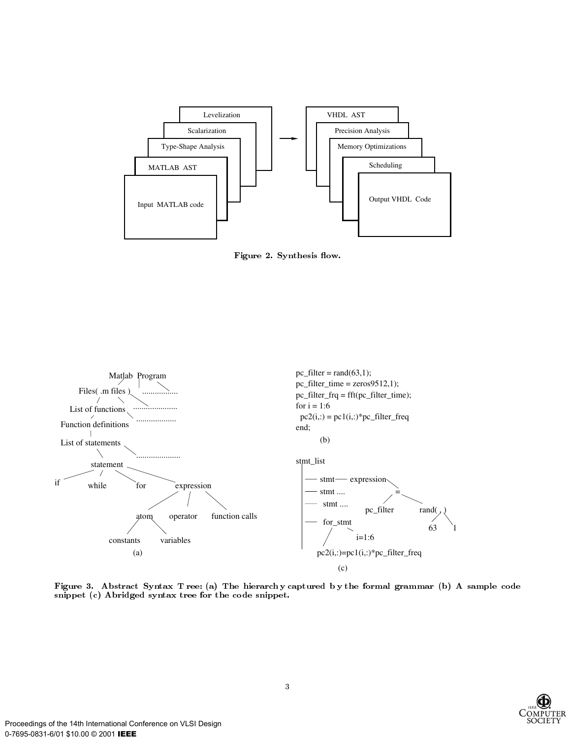

Figure 2. Synthesis flow.



Figure 3. Abstract Syntax T ree: (a) The hierarch y captured b y the formal grammar (b) A sample code snippet (c) Abridged syntax tree for the code snippet.

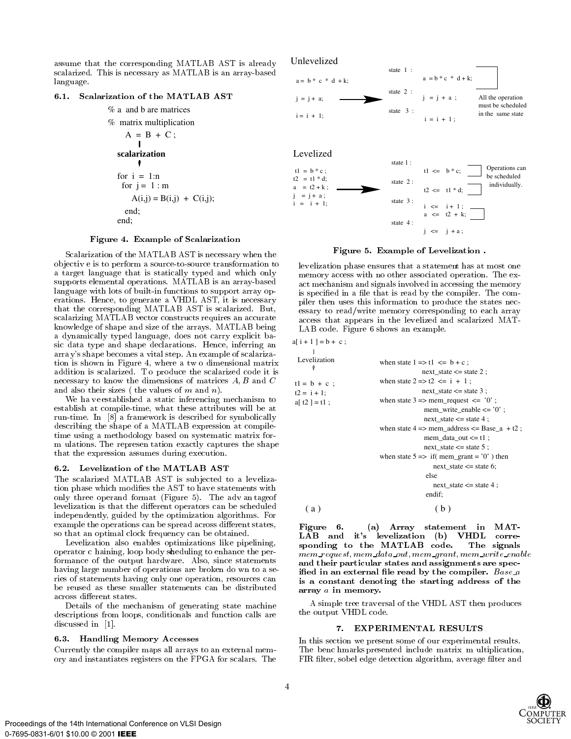assume that the corresponding MATLAB AST is already scalarized. This is necessary as MATLAB is an array-based language.

### $6.1.$ Scalarization of the MATLAB AST

\n- % a and b are matrices
\n- % matrix multiplication\n 
$$
A = B + C
$$
;\n  $I$ \n
\n- **scalarization**\n
	\n- for i = 1:n
	\n- for j = 1 : m
	\n- $A(i,j) = B(i,j) + C(i,j);$
	\n- end;
	\n- end;
	\n\n

### Figure 4. Example of Scalarization

Scalarization of the MATLAB AST is necessary when the ob jectiv e is to perform a source-to-source transformation to a target language that is statically typed and which only supports elemental operations. MATLAB is an array-based language with lots of built-in functions to support array operations. Hence, to generate a VHDL AST, it is necessary that the corresponding MATLAB AST is scalarized. But, scalarizing MATLAB vector constructs requires an accurate knowledge of shape and size of the arrays. MATLAB being a dynamically typed language, does not carry explicit basic data type and shape declarations. Hence, inferring an arra y's shape becomes a vital step. An example of scalarization is shown in Figure 4, where a tw o dimensional matrix addition is scalarized. To produce the scalarized code it is necessary to know the dimensions of matrices  $A, B$  and  $C$ and also their sizes ( the values of  $m$  and  $n$ ).

We have established a static inferencing mechanism to establish at compile-time, what these attributes will be at run-time. In [8] a framework is described for symbolically describing the shape of a MATLAB expression at compiletime using a methodology based on systematic matrix form ulations. The represen tation exactly captures the shape that the expression assumes during execution.

### 6.2. Levelization of the MATLAB AST

The scalarized MATLAB AST is sub jected to a lev elization phase which modifies the AST to have statements with only three operand format (Figure 5). The adv an tageof levelization is that the different operators can be scheduled independently, guided by the optimization algorithms. For example the operations can be spread across different states, so that an optimal clock frequency can be obtained.

Levelization also enables optimizations like pipelining, operator c haining, loop body sheduling to enhance the performance of the output hardware. Also, since statements having large number of operations are broken do wn to a series of statements having only one operation, resources can be reused as these smaller statements can be distributed across different states.

Details of the mechanism of generating state machine descriptions from loops, conditionals and function calls are discussed in [1].

### 6.3. Handling Memory Accesses

Currently the compiler maps all arrays to an external memory and instantiates registers on the FPGA for scalars. The



Figure 5. Example of Levelization .

lev elization phase ensures that a statement has at most one memory access with no other associated operation. The exact mechanism and signals involved in accessing the memory is specified in a file that is read by the compiler. The compiler then uses this information to produce the states necessary to read/write memory corresponding to each array access that appears in the lev elized and scalarized MAT-LAB code. Figure 6 shows an example.

 $a[i + 1] = b + c$ ;

| Levelization   | when state $1 \Rightarrow t1 \leq b + c$ ;                      |  |  |  |  |  |  |  |
|----------------|-----------------------------------------------------------------|--|--|--|--|--|--|--|
| ۷              | $next$ state $\leq$ state 2;                                    |  |  |  |  |  |  |  |
| $t1 = b + c$ : | when state $2 \Rightarrow 12 \le i + 1$ ;                       |  |  |  |  |  |  |  |
| $t2 = i + 1$ ; | $next$ state $\leq$ state 3 :                                   |  |  |  |  |  |  |  |
| $a[t2] = t1$ ; | when state $3 \Rightarrow$ mem_request $\leq 0$ ;               |  |  |  |  |  |  |  |
|                | mem write enable $\leq$ $\geq$ $\degree$ $\degree$ $\therefore$ |  |  |  |  |  |  |  |
|                | next state $\le$ state 4;                                       |  |  |  |  |  |  |  |
|                | when state $4 \Rightarrow$ mem address $\leq$ Base a + t2;      |  |  |  |  |  |  |  |
|                | mem data out $\leq$ t1;                                         |  |  |  |  |  |  |  |
|                | next state $\le$ state 5 :                                      |  |  |  |  |  |  |  |
|                | when state $5 \implies$ if (mem_grant = '0') then               |  |  |  |  |  |  |  |
|                | next state $\leq$ state 6;                                      |  |  |  |  |  |  |  |
|                | else                                                            |  |  |  |  |  |  |  |
|                | next state $\le$ state 4 ;                                      |  |  |  |  |  |  |  |
|                | endif;                                                          |  |  |  |  |  |  |  |
| a)             | b)                                                              |  |  |  |  |  |  |  |

Figure 6. (a) Array statement in MAT-LAB and it's levelization (b) VHDL corre sponding to the MATLAB code. The signals  $mem\_request, mem\_data\_out, mem\_grant, mem\_write\_enable$ and their particular states and assignments are specified in an external file read by the compiler.  $Base_a$ is a constant denoting the starting address of the array a in memory.

A simple tree trav ersal of the VHDL AST then produces the output VHDL code.

In this section we present some of our experimental results. The benc hmarks presented include matrix m ultiplication, FIR filter, sobel edge detection algorithm, average filter and

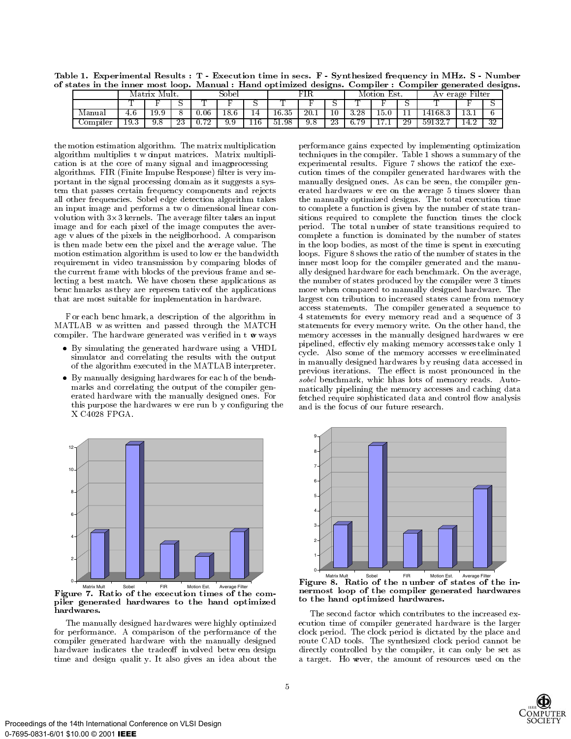Table 1. Experimental Results : T - Execution time in secs. F - Synthesized frequency in MHz. S - Number of states in the inner most loop. Manual : Hand optimized designs. Compiler : Compiler generated designs.

|          | Mult.<br>Matrix |      | Sobel |                  |                  | n T T<br>ΊK |                         |               | Motion<br>Est. |                   |      | erage Filter |         |      |    |
|----------|-----------------|------|-------|------------------|------------------|-------------|-------------------------|---------------|----------------|-------------------|------|--------------|---------|------|----|
|          |                 |      |       | -                |                  |             |                         |               | ້              |                   |      |              |         |      |    |
| 'anua.   | —ւ. Ն           | 19.J |       | 0.06             | $\Omega$<br>10.0 | 工士          | $\overline{2}$<br>10.JJ | റ<br>40.I     | ΤO             | റ<br>ົ<br>ت کی اس | TO O | <b>. .</b>   | 14168.3 | 10.I |    |
| Compiler | 10.U            | ັ.∪  | ∠υ    | <u>v.</u><br>. . | Y .Y             | 116         | 1.98                    | $\sigma \sim$ | 20             | v. 1 J            | .    | -96<br>ن رے  | 59132.7 | 14.4 | 32 |

the motion estimation algorithm. The matrix multiplication algorithm multiplies t w oinput matrices. Matrix multiplication is at the core of many signal and imagprocessing algorithms. FIR (Finite Impulse Response) filter is very important in the signal processing domain as it suggests a system that passes certain frequency components and rejects all other frequencies. Sobel edge detection algorithm takes an input image and performs a tw o dimensional linear con- $\sim$  3-cm and 3-cm are exampled and the average and increase and input  $\sim$  . image and for each pixel of the image computes the aver age v alues of the pixels in the neighborhood. A comparison is then made betw een the pixel and the average value. The motion estimation algorithm is used to low er the bandwidth requirement in video transmission by comparing blocks of the current frame with blocks of the previous frame and selecting a best match. We have chosen these applications as benc hmarks as they are represen tativ eof the applications that are most suitable for implementation in hardware.

F or each benc hmark, a description of the algorithm in MATLAB w as written and passed through the MATCH compiler. The hardware generated was verified in t w ways

- $\mathbf{B}$  simulating the generation mass is using a VHDL  $\mathbf{B}$ simulator and correlating the results with the output of the algorithm executed in the MATLAB interpreter.
- $\mathcal{L}$  , manually designing hardwares for each of the benchmarks and correlating the output of the compiler generated hardware with the manually designed ones. For this purpose the hardwares w ere run b y conguring the X C4028 FPGA.

performance gains expected by implementing optimization techniques in the compiler. Table 1 shows a summary of the experimental results. Figure 7 shows the ratioof the execution times of the compiler generated hardwares with the manually designed ones. As can be seen, the compiler generated hardwares w ere on the av erage 5 times slower than the manually optimized designs. The total execution time to complete a function is given by the number of state transitions required to complete the function times the clock period. The total n umber of state transitions required to complete a function is dominated by the number of states in the loop bodies, as most of the time is spent in executing loops. Figure 8 shows the ratio of the number of states in the inner most loop for the compiler generated and the manu ally designed hardware for each benchmark. On the av erage, the number of states produced by the compiler were 3 times more when compared to manually designed hardware. The largest con tribution to increased states came from memory access statements. The compiler generated a sequence to 4 statements for every memory read and a sequence of 3 statements for every memory write. On the other hand, the memory accesses in the manually designed hardwares w ere pipelined, effectiv ely making memory accesses take only 1 cycle. Also some of the memory accesses w ere eliminated in manually designed hardwares b y reusing data accessed in previous iterations. The effect is most pronounced in the sobel benchmark, whic hhas lots of memory reads. Automatically pipelining the memory accesses and caching data fetched require sophisticated data and control flow analysis and is the focus of our future research.



Figure 7. Ratio of the execution times of the compiler generated hardwares to the hand optimized

The manually designed hardwares were highly optimized for performance. A comparison of the performance of the compiler generated hardware with the manually designed hardware indicates the tradeoff involved between design time and design qualit y. It also gives an idea about the



Figure 8. Ratio of the n umber of states of the innermost loop of the compiler generated hardwares to the hand optimized hardwares.

The second factor which contributes to the increased execution time of compiler generated hardware is the larger clock period. The clock period is dictated by the place and route CAD tools. The synthesized clock period cannot be directly controlled by the compiler, it can only be set as a target. Ho wever, the amount of resources used on the